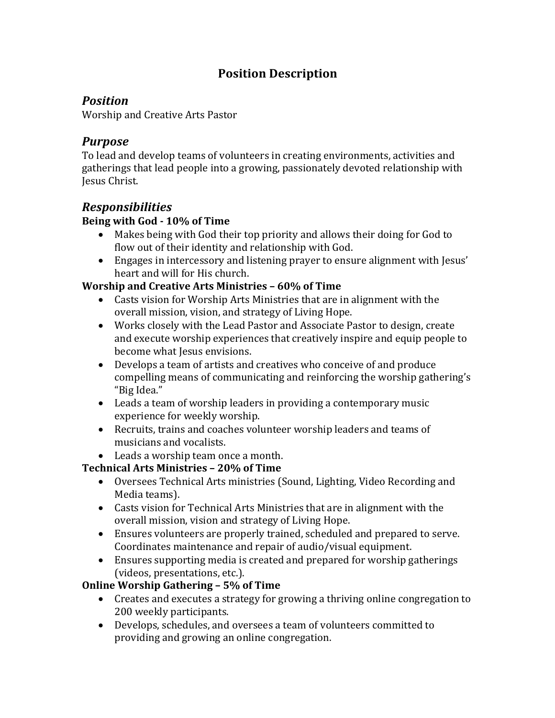# **Position Description**

# *Position*

Worship and Creative Arts Pastor

### *Purpose*

To lead and develop teams of volunteers in creating environments, activities and gatherings that lead people into a growing, passionately devoted relationship with Jesus Christ.

### *Responsibilities*

#### **Being with God - 10% of Time**

- Makes being with God their top priority and allows their doing for God to flow out of their identity and relationship with God.
- Engages in intercessory and listening prayer to ensure alignment with Jesus' heart and will for His church.

### **Worship and Creative Arts Ministries - 60% of Time**

- Casts vision for Worship Arts Ministries that are in alignment with the overall mission, vision, and strategy of Living Hope.
- Works closely with the Lead Pastor and Associate Pastor to design, create and execute worship experiences that creatively inspire and equip people to become what Jesus envisions.
- Develops a team of artists and creatives who conceive of and produce compelling means of communicating and reinforcing the worship gathering's "Big Idea."
- Leads a team of worship leaders in providing a contemporary music experience for weekly worship.
- Recruits, trains and coaches volunteer worship leaders and teams of musicians and vocalists.
- Leads a worship team once a month.

### **Technical Arts Ministries – 20% of Time**

- Oversees Technical Arts ministries (Sound, Lighting, Video Recording and Media teams).
- Casts vision for Technical Arts Ministries that are in alignment with the overall mission, vision and strategy of Living Hope.
- Ensures volunteers are properly trained, scheduled and prepared to serve. Coordinates maintenance and repair of audio/visual equipment.
- Ensures supporting media is created and prepared for worship gatherings (videos, presentations, etc.).

### **Online Worship Gathering – 5% of Time**

- Creates and executes a strategy for growing a thriving online congregation to 200 weekly participants.
- Develops, schedules, and oversees a team of volunteers committed to providing and growing an online congregation.